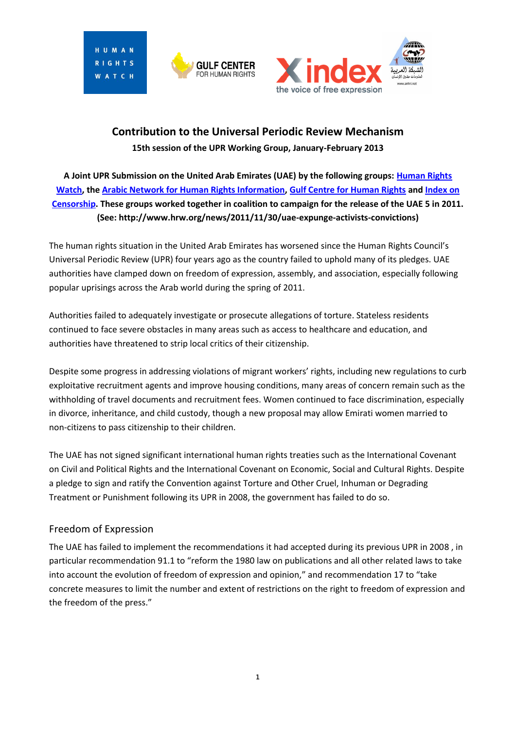HIMAN HTS ATCH





# **Contribution to the Universal Periodic Review Mechanism 15th session of the UPR Working Group, January-February 2013**

**A Joint UPR Submission on the United Arab Emirates (UAE) by the following groups: [Human Rights](http://www.hrw.org/)  [Watch,](http://www.hrw.org/) the [Arabic Network for Human Rights Information,](http://www.anhri.net/en/) [Gulf Centre for Human Rights](http://gc4hr.org/) an[d Index on](http://www.indexoncensorship.org/)  [Censorship.](http://www.indexoncensorship.org/) These groups worked together in coalition to campaign for the release of the UAE 5 in 2011. (See: http://www.hrw.org/news/2011/11/30/uae-expunge-activists-convictions)**

The human rights situation in the United Arab Emirates has worsened since the Human Rights Council's Universal Periodic Review (UPR) four years ago as the country failed to uphold many of its pledges. UAE authorities have clamped down on freedom of expression, assembly, and association, especially following popular uprisings across the Arab world during the spring of 2011.

Authorities failed to adequately investigate or prosecute allegations of torture. Stateless residents continued to face severe obstacles in many areas such as access to healthcare and education, and authorities have threatened to strip local critics of their citizenship.

Despite some progress in addressing violations of migrant workers' rights, including new regulations to curb exploitative recruitment agents and improve housing conditions, many areas of concern remain such as the withholding of travel documents and recruitment fees. Women continued to face discrimination, especially in divorce, inheritance, and child custody, though a new proposal may allow Emirati women married to non-citizens to pass citizenship to their children.

The UAE has not signed significant international human rights treaties such as the International Covenant on Civil and Political Rights and the International Covenant on Economic, Social and Cultural Rights. Despite a pledge to sign and ratify the Convention against Torture and Other Cruel, Inhuman or Degrading Treatment or Punishment following its UPR in 2008, the government has failed to do so.

## Freedom of Expression

The UAE has failed to implement the recommendations it had accepted during its previous UPR in 2008 , in particular recommendation 91.1 to "reform the 1980 law on publications and all other related laws to take into account the evolution of freedom of expression and opinion," and recommendation 17 to "take concrete measures to limit the number and extent of restrictions on the right to freedom of expression and the freedom of the press."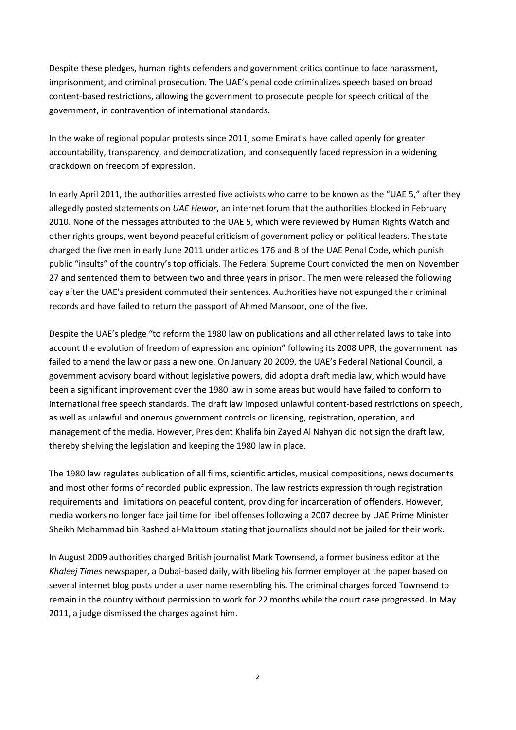Despite these pledges, human rights defenders and government critics continue to face harassment, imprisonment, and criminal prosecution. The UAE's penal code criminalizes speech based on broad content-based restrictions, allowing the government to prosecute people for speech critical of the government, in contravention of international standards.

In the wake of regional popular protests since 2011, some Emiratis have called openly for greater accountability, transparency, and democratization, and consequently faced repression in a widening crackdown on freedom of expression.

In early April 2011, the authorities arrested five activists who came to be known as the "UAE 5," after they allegedly posted statements on *UAE Hewar*, an internet forum that the authorities blocked in February 2010. None of the messages attributed to the UAE 5, which were reviewed by Human Rights Watch and other rights groups, went beyond peaceful criticism of government policy or political leaders. The state charged the five men in early June 2011 under articles 176 and 8 of the UAE Penal Code, which punish public "insults" of the country's top officials. The Federal Supreme Court convicted the men on November 27 and sentenced them to between two and three years in prison. The men were released the following day after the UAE's president commuted their sentences. Authorities have not expunged their criminal records and have failed to return the passport of Ahmed Mansoor, one of the five.

Despite the UAE's pledge "to reform the 1980 law on publications and all other related laws to take into account the evolution of freedom of expression and opinion" following its 2008 UPR, the government has failed to amend the law or pass a new one. On January 20 2009, the UAE's Federal National Council, a government advisory board without legislative powers, did adopt a draft media law, which would have been a significant improvement over the 1980 law in some areas but would have failed to conform to international free speech standards. The draft law imposed unlawful content-based restrictions on speech, as well as unlawful and onerous government controls on licensing, registration, operation, and management of the media. However, President Khalifa bin Zayed Al Nahyan did not sign the draft law, thereby shelving the legislation and keeping the 1980 law in place.

The 1980 law regulates publication of all films, scientific articles, musical compositions, news documents and most other forms of recorded public expression. The law restricts expression through registration requirements and limitations on peaceful content, providing for incarceration of offenders. However, media workers no longer face jail time for libel offenses following a 2007 decree by UAE Prime Minister Sheikh Mohammad bin Rashed al-Maktoum stating that journalists should not be jailed for their work.

In August 2009 authorities charged British journalist Mark Townsend, a former business editor at the *Khaleej Times* newspaper, a Dubai-based daily, with libeling his former employer at the paper based on several internet blog posts under a user name resembling his. The criminal charges forced Townsend to remain in the country without permission to work for 22 months while the court case progressed. In May 2011, a judge dismissed the charges against him.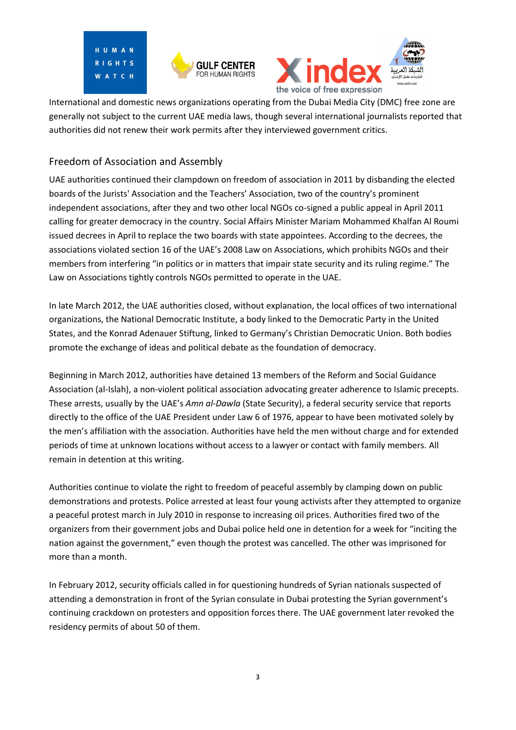





International and domestic news organizations operating from the Dubai Media City (DMC) free zone are generally not subject to the current UAE media laws, though several international journalists reported that authorities did not renew their work permits after they interviewed government critics.

## Freedom of Association and Assembly

UAE authorities continued their clampdown on freedom of association in 2011 by disbanding the elected boards of the Jurists' Association and the Teachers' Association, two of the country's prominent independent associations, after they and two other local NGOs co-signed a public appeal in April 2011 calling for greater democracy in the country. Social Affairs Minister Mariam Mohammed Khalfan Al Roumi issued decrees in April to replace the two boards with state appointees. According to the decrees, the associations violated section 16 of the UAE's 2008 Law on Associations, which prohibits NGOs and their members from interfering "in politics or in matters that impair state security and its ruling regime." The Law on Associations tightly controls NGOs permitted to operate in the UAE.

In late March 2012, the UAE authorities closed, without explanation, the local offices of two international organizations, the National Democratic Institute, a body linked to the Democratic Party in the United States, and the Konrad Adenauer Stiftung, linked to Germany's Christian Democratic Union. Both bodies promote the exchange of ideas and political debate as the foundation of democracy.

Beginning in March 2012, authorities have detained 13 members of the Reform and Social Guidance Association (al-Islah), a non-violent political association advocating greater adherence to Islamic precepts. These arrests, usually by the UAE's *Amn al-Dawla* (State Security), a federal security service that reports directly to the office of the UAE President under Law 6 of 1976, appear to have been motivated solely by the men's affiliation with the association. Authorities have held the men without charge and for extended periods of time at unknown locations without access to a lawyer or contact with family members. All remain in detention at this writing.

Authorities continue to violate the right to freedom of peaceful assembly by clamping down on public demonstrations and protests. Police arrested at least four young activists after they attempted to organize a peaceful protest march in July 2010 in response to increasing oil prices. Authorities fired two of the organizers from their government jobs and Dubai police held one in detention for a week for "inciting the nation against the government," even though the protest was cancelled. The other was imprisoned for more than a month.

In February 2012, security officials called in for questioning hundreds of Syrian nationals suspected of attending a demonstration in front of the Syrian consulate in Dubai protesting the Syrian government's continuing crackdown on protesters and opposition forces there. The UAE government later revoked the residency permits of about 50 of them.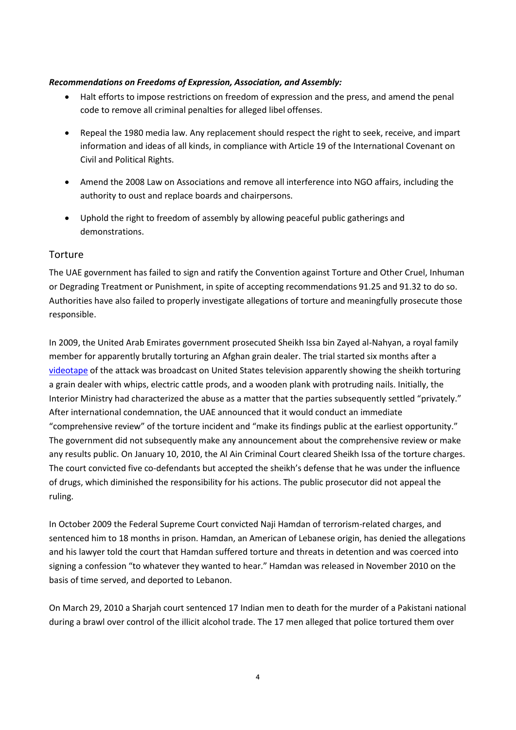#### *Recommendations on Freedoms of Expression, Association, and Assembly:*

- Halt efforts to impose restrictions on freedom of expression and the press, and amend the penal code to remove all criminal penalties for alleged libel offenses.
- Repeal the 1980 media law. Any replacement should respect the right to seek, receive, and impart information and ideas of all kinds, in compliance with Article 19 of the International Covenant on Civil and Political Rights.
- Amend the 2008 Law on Associations and remove all interference into NGO affairs, including the authority to oust and replace boards and chairpersons.
- Uphold the right to freedom of assembly by allowing peaceful public gatherings and demonstrations.

### Torture

The UAE government has failed to sign and ratify the Convention against Torture and Other Cruel, Inhuman or Degrading Treatment or Punishment, in spite of accepting recommendations 91.25 and 91.32 to do so. Authorities have also failed to properly investigate allegations of torture and meaningfully prosecute those responsible.

In 2009, the United Arab Emirates government prosecuted Sheikh Issa bin Zayed al-Nahyan, a royal family member for apparently brutally torturing an Afghan grain dealer. The trial started six months after a [videotape](http://abcnews.go.com/video/playerIndex?id=7407186) of the attack was broadcast on United States television apparently showing the sheikh torturing a grain dealer with whips, electric cattle prods, and a wooden plank with protruding nails. Initially, the Interior Ministry had characterized the abuse as a matter that the parties subsequently settled "privately." After international condemnation, the UAE announced that it would conduct an immediate "comprehensive review" of the torture incident and "make its findings public at the earliest opportunity." The government did not subsequently make any announcement about the comprehensive review or make any results public. On January 10, 2010, the Al Ain Criminal Court cleared Sheikh Issa of the torture charges. The court convicted five co-defendants but accepted the sheikh's defense that he was under the influence of drugs, which diminished the responsibility for his actions. The public prosecutor did not appeal the ruling.

In October 2009 the Federal Supreme Court convicted Naji Hamdan of terrorism-related charges, and sentenced him to 18 months in prison. Hamdan, an American of Lebanese origin, has denied the allegations and his lawyer told the court that Hamdan suffered torture and threats in detention and was coerced into signing a confession "to whatever they wanted to hear." Hamdan was released in November 2010 on the basis of time served, and deported to Lebanon.

On March 29, 2010 a Sharjah court sentenced 17 Indian men to death for the murder of a Pakistani national during a brawl over control of the illicit alcohol trade. The 17 men alleged that police tortured them over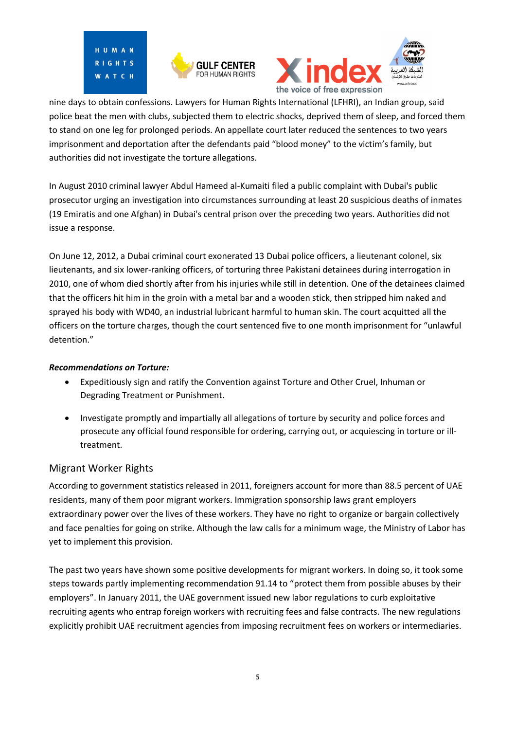





nine days to obtain confessions. Lawyers for Human Rights International (LFHRI), an Indian group, said police beat the men with clubs, subjected them to electric shocks, deprived them of sleep, and forced them to stand on one leg for prolonged periods. An appellate court later reduced the sentences to two years imprisonment and deportation after the defendants paid "blood money" to the victim's family, but authorities did not investigate the torture allegations.

In August 2010 criminal lawyer Abdul Hameed al-Kumaiti filed a public complaint with Dubai's public prosecutor urging an investigation into circumstances surrounding at least 20 suspicious deaths of inmates (19 Emiratis and one Afghan) in Dubai's central prison over the preceding two years. Authorities did not issue a response.

On June 12, 2012, a Dubai criminal court exonerated 13 Dubai police officers, a lieutenant colonel, six lieutenants, and six lower-ranking officers, of torturing three Pakistani detainees during interrogation in 2010, one of whom died shortly after from his injuries while still in detention. One of the detainees claimed that the officers hit him in the groin with a metal bar and a wooden stick, then stripped him naked and sprayed his body with WD40, an industrial lubricant harmful to human skin. The court acquitted all the officers on the torture charges, though the court sentenced five to one month imprisonment for "unlawful detention."

#### *Recommendations on Torture:*

- Expeditiously sign and ratify the Convention against Torture and Other Cruel, Inhuman or Degrading Treatment or Punishment.
- Investigate promptly and impartially all allegations of torture by security and police forces and prosecute any official found responsible for ordering, carrying out, or acquiescing in torture or illtreatment.

## Migrant Worker Rights

According to government statistics released in 2011, foreigners account for more than 88.5 percent of UAE residents, many of them poor migrant workers. Immigration sponsorship laws grant employers extraordinary power over the lives of these workers. They have no right to organize or bargain collectively and face penalties for going on strike. Although the law calls for a minimum wage, the Ministry of Labor has yet to implement this provision.

The past two years have shown some positive developments for migrant workers. In doing so, it took some steps towards partly implementing recommendation 91.14 to "protect them from possible abuses by their employers". In January 2011, the UAE government issued new labor regulations to curb exploitative recruiting agents who entrap foreign workers with recruiting fees and false contracts. The new regulations explicitly prohibit UAE recruitment agencies from imposing recruitment fees on workers or intermediaries.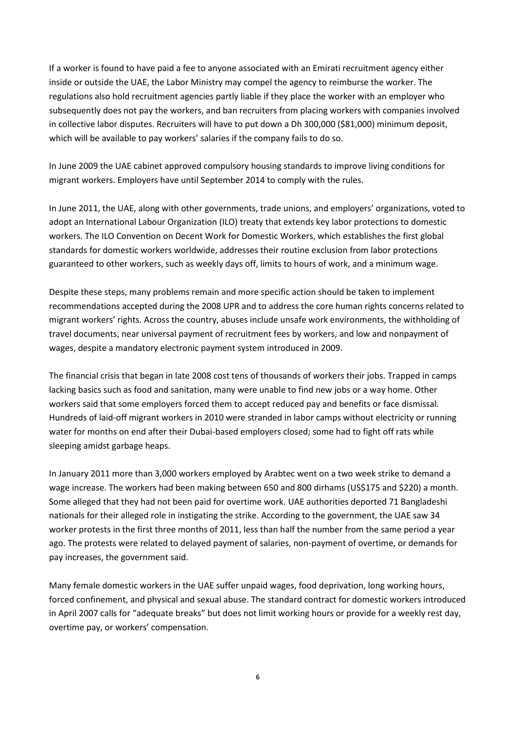If a worker is found to have paid a fee to anyone associated with an Emirati recruitment agency either inside or outside the UAE, the Labor Ministry may compel the agency to reimburse the worker. The regulations also hold recruitment agencies partly liable if they place the worker with an employer who subsequently does not pay the workers, and ban recruiters from placing workers with companies involved in collective labor disputes. Recruiters will have to put down a Dh 300,000 (\$81,000) minimum deposit, which will be available to pay workers' salaries if the company fails to do so.

In June 2009 the UAE cabinet approved compulsory housing standards to improve living conditions for migrant workers. Employers have until September 2014 to comply with the rules.

In June 2011, the UAE, along with other governments, trade unions, and employers' organizations, voted to adopt an International Labour Organization (ILO) treaty that extends key labor protections to domestic workers. The ILO Convention on Decent Work for Domestic Workers, which establishes the first global standards for domestic workers worldwide, addresses their routine exclusion from labor protections guaranteed to other workers, such as weekly days off, limits to hours of work, and a minimum wage.

Despite these steps, many problems remain and more specific action should be taken to implement recommendations accepted during the 2008 UPR and to address the core human rights concerns related to migrant workers' rights. Across the country, abuses include unsafe work environments, the withholding of travel documents, near universal payment of recruitment fees by workers, and low and nonpayment of wages, despite a mandatory electronic payment system introduced in 2009.

The financial crisis that began in late 2008 cost tens of thousands of workers their jobs. Trapped in camps lacking basics such as food and sanitation, many were unable to find new jobs or a way home. Other workers said that some employers forced them to accept reduced pay and benefits or face dismissal. Hundreds of laid-off migrant workers in 2010 were stranded in labor camps without electricity or running water for months on end after their Dubai-based employers closed; some had to fight off rats while sleeping amidst garbage heaps.

In January 2011 more than 3,000 workers employed by Arabtec went on a two week strike to demand a wage increase. The workers had been making between 650 and 800 dirhams (US\$175 and \$220) a month. Some alleged that they had not been paid for overtime work. UAE authorities deported 71 Bangladeshi nationals for their alleged role in instigating the strike. According to the government, the UAE saw 34 worker protests in the first three months of 2011, less than half the number from the same period a year ago. The protests were related to delayed payment of salaries, non-payment of overtime, or demands for pay increases, the government said.

Many female domestic workers in the UAE suffer unpaid wages, food deprivation, long working hours, forced confinement, and physical and sexual abuse. The standard contract for domestic workers introduced in April 2007 calls for "adequate breaks" but does not limit working hours or provide for a weekly rest day, overtime pay, or workers' compensation.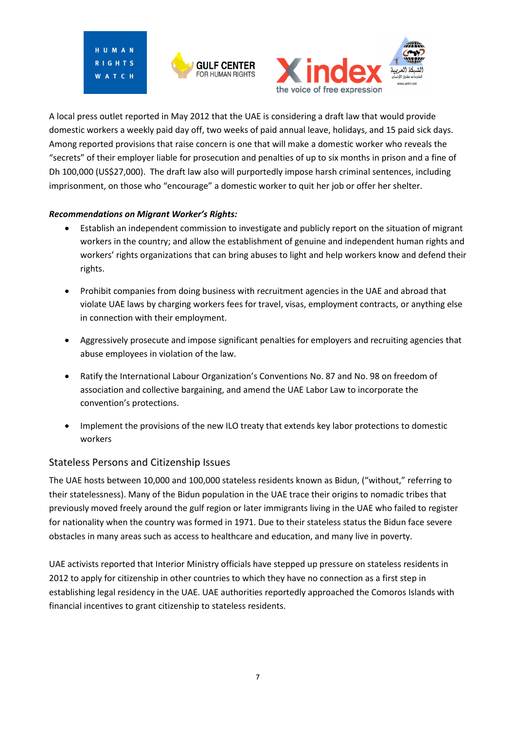





A local press outlet reported in May 2012 that the UAE is considering a draft law that would provide domestic workers a weekly paid day off, two weeks of paid annual leave, holidays, and 15 paid sick days. Among reported provisions that raise concern is one that will make a domestic worker who reveals the "secrets" of their employer liable for prosecution and penalties of up to six months in prison and a fine of Dh 100,000 (US\$27,000). The draft law also will purportedly impose harsh criminal sentences, including imprisonment, on those who "encourage" a domestic worker to quit her job or offer her shelter.

#### *Recommendations on Migrant Worker's Rights:*

- Establish an independent commission to investigate and publicly report on the situation of migrant workers in the country; and allow the establishment of genuine and independent human rights and workers' rights organizations that can bring abuses to light and help workers know and defend their rights.
- Prohibit companies from doing business with recruitment agencies in the UAE and abroad that violate UAE laws by charging workers fees for travel, visas, employment contracts, or anything else in connection with their employment.
- Aggressively prosecute and impose significant penalties for employers and recruiting agencies that abuse employees in violation of the law.
- Ratify the International Labour Organization's Conventions No. 87 and No. 98 on freedom of association and collective bargaining, and amend the UAE Labor Law to incorporate the convention's protections.
- Implement the provisions of the new ILO treaty that extends key labor protections to domestic workers

## Stateless Persons and Citizenship Issues

The UAE hosts between 10,000 and 100,000 stateless residents known as Bidun, ("without," referring to their statelessness). Many of the Bidun population in the UAE trace their origins to nomadic tribes that previously moved freely around the gulf region or later immigrants living in the UAE who failed to register for nationality when the country was formed in 1971. Due to their stateless status the Bidun face severe obstacles in many areas such as access to healthcare and education, and many live in poverty.

UAE activists reported that Interior Ministry officials have stepped up pressure on stateless residents in 2012 to apply for citizenship in other countries to which they have no connection as a first step in establishing legal residency in the UAE. UAE authorities reportedly approached the Comoros Islands with financial incentives to grant citizenship to stateless residents.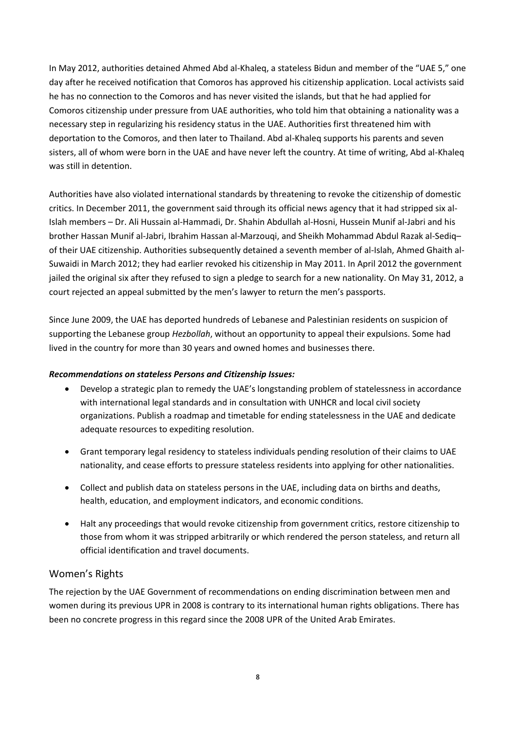In May 2012, authorities detained Ahmed Abd al-Khaleq, a stateless Bidun and member of the "UAE 5," one day after he received notification that Comoros has approved his citizenship application. Local activists said he has no connection to the Comoros and has never visited the islands, but that he had applied for Comoros citizenship under pressure from UAE authorities, who told him that obtaining a nationality was a necessary step in regularizing his residency status in the UAE. Authorities first threatened him with deportation to the Comoros, and then later to Thailand. Abd al-Khaleq supports his parents and seven sisters, all of whom were born in the UAE and have never left the country. At time of writing, Abd al-Khaleq was still in detention.

Authorities have also violated international standards by threatening to revoke the citizenship of domestic critics. In December 2011, the government said through its official news agency that it had stripped six al-Islah members – Dr. Ali Hussain al-Hammadi, Dr. Shahin Abdullah al-Hosni, Hussein Munif al-Jabri and his brother Hassan Munif al-Jabri, Ibrahim Hassan al-Marzouqi, and Sheikh Mohammad Abdul Razak al-Sediq– of their UAE citizenship. Authorities subsequently detained a seventh member of al-Islah, Ahmed Ghaith al-Suwaidi in March 2012; they had earlier revoked his citizenship in May 2011. In April 2012 the government jailed the original six after they refused to sign a pledge to search for a new nationality. On May 31, 2012, a court rejected an appeal submitted by the men's lawyer to return the men's passports.

Since June 2009, the UAE has deported hundreds of Lebanese and Palestinian residents on suspicion of supporting the Lebanese group *Hezbollah*, without an opportunity to appeal their expulsions. Some had lived in the country for more than 30 years and owned homes and businesses there.

#### *Recommendations on stateless Persons and Citizenship Issues:*

- Develop a strategic plan to remedy the UAE's longstanding problem of statelessness in accordance with international legal standards and in consultation with UNHCR and local civil society organizations. Publish a roadmap and timetable for ending statelessness in the UAE and dedicate adequate resources to expediting resolution.
- Grant temporary legal residency to stateless individuals pending resolution of their claims to UAE nationality, and cease efforts to pressure stateless residents into applying for other nationalities.
- Collect and publish data on stateless persons in the UAE, including data on births and deaths, health, education, and employment indicators, and economic conditions.
- Halt any proceedings that would revoke citizenship from government critics, restore citizenship to those from whom it was stripped arbitrarily or which rendered the person stateless, and return all official identification and travel documents.

## Women's Rights

The rejection by the UAE Government of recommendations on ending discrimination between men and women during its previous UPR in 2008 is contrary to its international human rights obligations. There has been no concrete progress in this regard since the 2008 UPR of the United Arab Emirates.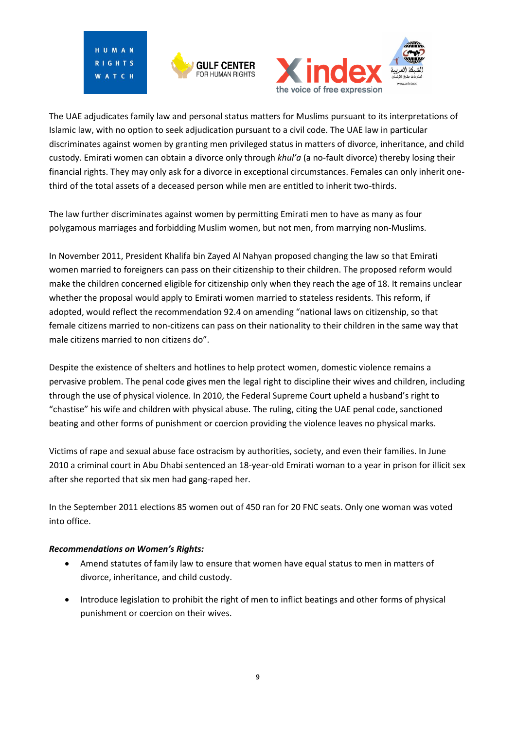H II M A N RIGHTS ATCH





The UAE adjudicates family law and personal status matters for Muslims pursuant to its interpretations of Islamic law, with no option to seek adjudication pursuant to a civil code. The UAE law in particular discriminates against women by granting men privileged status in matters of divorce, inheritance, and child custody. Emirati women can obtain a divorce only through *khul'a* (a no-fault divorce) thereby losing their financial rights. They may only ask for a divorce in exceptional circumstances. Females can only inherit onethird of the total assets of a deceased person while men are entitled to inherit two-thirds.

The law further discriminates against women by permitting Emirati men to have as many as four polygamous marriages and forbidding Muslim women, but not men, from marrying non-Muslims.

In November 2011, President Khalifa bin Zayed Al Nahyan proposed changing the law so that Emirati women married to foreigners can pass on their citizenship to their children. The proposed reform would make the children concerned eligible for citizenship only when they reach the age of 18. It remains unclear whether the proposal would apply to Emirati women married to stateless residents. This reform, if adopted, would reflect the recommendation 92.4 on amending "national laws on citizenship, so that female citizens married to non-citizens can pass on their nationality to their children in the same way that male citizens married to non citizens do".

Despite the existence of shelters and hotlines to help protect women, domestic violence remains a pervasive problem. The penal code gives men the legal right to discipline their wives and children, including through the use of physical violence. In 2010, the Federal Supreme Court upheld a husband's right to "chastise" his wife and children with physical abuse. The ruling, citing the UAE penal code, sanctioned beating and other forms of punishment or coercion providing the violence leaves no physical marks.

Victims of rape and sexual abuse face ostracism by authorities, society, and even their families. In June 2010 a criminal court in Abu Dhabi sentenced an 18-year-old Emirati woman to a year in prison for illicit sex after she reported that six men had gang-raped her.

In the September 2011 elections 85 women out of 450 ran for 20 FNC seats. Only one woman was voted into office.

#### *Recommendations on Women's Rights:*

- Amend statutes of family law to ensure that women have equal status to men in matters of divorce, inheritance, and child custody.
- Introduce legislation to prohibit the right of men to inflict beatings and other forms of physical punishment or coercion on their wives.